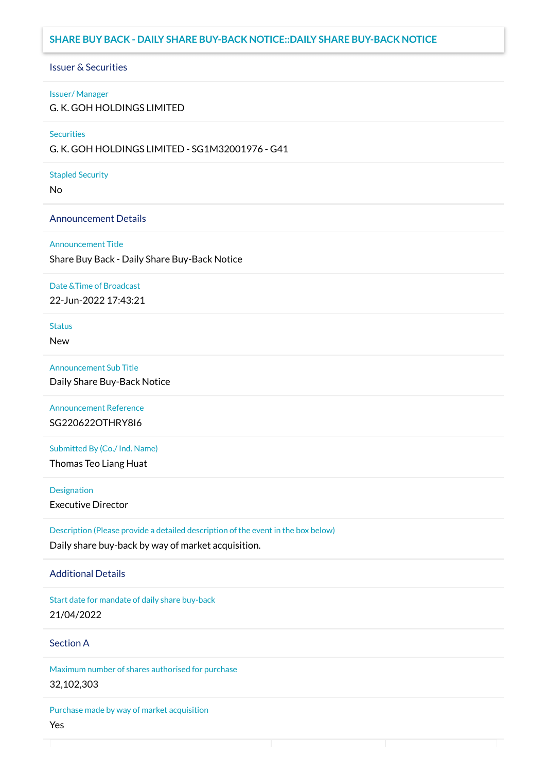# **SHARE BUY BACK - DAILY SHARE BUY-BACK NOTICE::DAILY SHARE BUY-BACK NOTICE**

## Issuer & Securities

#### Issuer/ Manager

G. K. GOH HOLDINGS LIMITED

## **Securities**

G. K. GOH HOLDINGS LIMITED - SG1M32001976 - G41

## Stapled Security

No

## Announcement Details

### Announcement Title

Share Buy Back - Daily Share Buy-Back Notice

## Date &Time of Broadcast

22-Jun-2022 17:43:21

# **Status**

New

# Announcement Sub Title

Daily Share Buy-Back Notice

# Announcement Reference SG220622OTHRY8I6

Submitted By (Co./ Ind. Name)

Thomas Teo Liang Huat

**Designation** 

Executive Director

Description (Please provide a detailed description of the event in the box below) Daily share buy-back by way of market acquisition.

## Additional Details

Start date for mandate of daily share buy-back 21/04/2022

# Section A

Maximum number of shares authorised for purchase 32,102,303

Purchase made by way of market acquisition Yes